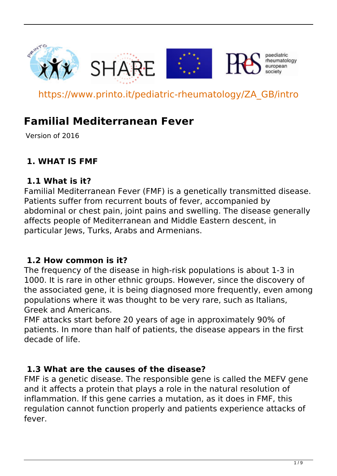

https://www.printo.it/pediatric-rheumatology/ZA\_GB/intro

# **Familial Mediterranean Fever**

Version of 2016

# **1. WHAT IS FMF**

### **1.1 What is it?**

Familial Mediterranean Fever (FMF) is a genetically transmitted disease. Patients suffer from recurrent bouts of fever, accompanied by abdominal or chest pain, joint pains and swelling. The disease generally affects people of Mediterranean and Middle Eastern descent, in particular Jews, Turks, Arabs and Armenians.

### **1.2 How common is it?**

The frequency of the disease in high-risk populations is about 1-3 in 1000. It is rare in other ethnic groups. However, since the discovery of the associated gene, it is being diagnosed more frequently, even among populations where it was thought to be very rare, such as Italians, Greek and Americans.

FMF attacks start before 20 years of age in approximately 90% of patients. In more than half of patients, the disease appears in the first decade of life.

### **1.3 What are the causes of the disease?**

FMF is a genetic disease. The responsible gene is called the MEFV gene and it affects a protein that plays a role in the natural resolution of inflammation. If this gene carries a mutation, as it does in FMF, this regulation cannot function properly and patients experience attacks of fever.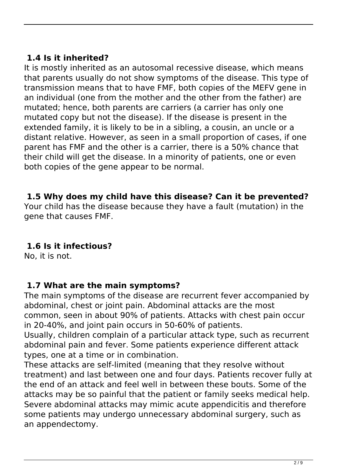# **1.4 Is it inherited?**

It is mostly inherited as an autosomal recessive disease, which means that parents usually do not show symptoms of the disease. This type of transmission means that to have FMF, both copies of the MEFV gene in an individual (one from the mother and the other from the father) are mutated; hence, both parents are carriers (a carrier has only one mutated copy but not the disease). If the disease is present in the extended family, it is likely to be in a sibling, a cousin, an uncle or a distant relative. However, as seen in a small proportion of cases, if one parent has FMF and the other is a carrier, there is a 50% chance that their child will get the disease. In a minority of patients, one or even both copies of the gene appear to be normal.

### **1.5 Why does my child have this disease? Can it be prevented?**

Your child has the disease because they have a fault (mutation) in the gene that causes FMF.

# **1.6 Is it infectious?**

No, it is not.

### **1.7 What are the main symptoms?**

The main symptoms of the disease are recurrent fever accompanied by abdominal, chest or joint pain. Abdominal attacks are the most common, seen in about 90% of patients. Attacks with chest pain occur in 20-40%, and joint pain occurs in 50-60% of patients.

Usually, children complain of a particular attack type, such as recurrent abdominal pain and fever. Some patients experience different attack types, one at a time or in combination.

These attacks are self-limited (meaning that they resolve without treatment) and last between one and four days. Patients recover fully at the end of an attack and feel well in between these bouts. Some of the attacks may be so painful that the patient or family seeks medical help. Severe abdominal attacks may mimic acute appendicitis and therefore some patients may undergo unnecessary abdominal surgery, such as an appendectomy.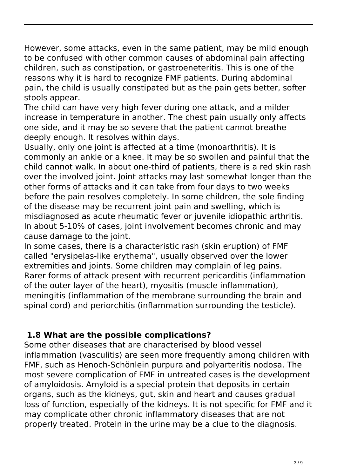However, some attacks, even in the same patient, may be mild enough to be confused with other common causes of abdominal pain affecting children, such as constipation, or gastroeneteritis. This is one of the reasons why it is hard to recognize FMF patients. During abdominal pain, the child is usually constipated but as the pain gets better, softer stools appear.

The child can have very high fever during one attack, and a milder increase in temperature in another. The chest pain usually only affects one side, and it may be so severe that the patient cannot breathe deeply enough. It resolves within days.

Usually, only one joint is affected at a time (monoarthritis). It is commonly an ankle or a knee. It may be so swollen and painful that the child cannot walk. In about one-third of patients, there is a red skin rash over the involved joint. Joint attacks may last somewhat longer than the other forms of attacks and it can take from four days to two weeks before the pain resolves completely. In some children, the sole finding of the disease may be recurrent joint pain and swelling, which is misdiagnosed as acute rheumatic fever or juvenile idiopathic arthritis. In about 5-10% of cases, joint involvement becomes chronic and may cause damage to the joint.

In some cases, there is a characteristic rash (skin eruption) of FMF called "erysipelas-like erythema", usually observed over the lower extremities and joints. Some children may complain of leg pains. Rarer forms of attack present with recurrent pericarditis (inflammation of the outer layer of the heart), myositis (muscle inflammation), meningitis (inflammation of the membrane surrounding the brain and spinal cord) and periorchitis (inflammation surrounding the testicle).

# **1.8 What are the possible complications?**

Some other diseases that are characterised by blood vessel inflammation (vasculitis) are seen more frequently among children with FMF, such as Henoch-Schönlein purpura and polyarteritis nodosa. The most severe complication of FMF in untreated cases is the development of amyloidosis. Amyloid is a special protein that deposits in certain organs, such as the kidneys, gut, skin and heart and causes gradual loss of function, especially of the kidneys. It is not specific for FMF and it may complicate other chronic inflammatory diseases that are not properly treated. Protein in the urine may be a clue to the diagnosis.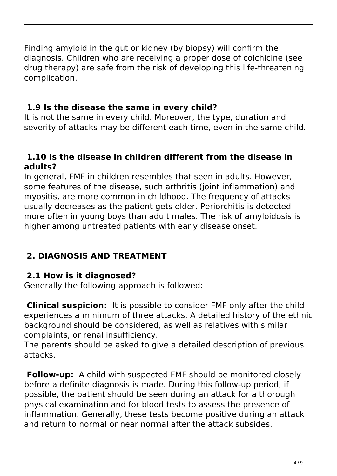Finding amyloid in the gut or kidney (by biopsy) will confirm the diagnosis. Children who are receiving a proper dose of colchicine (see drug therapy) are safe from the risk of developing this life-threatening complication.

# **1.9 Is the disease the same in every child?**

It is not the same in every child. Moreover, the type, duration and severity of attacks may be different each time, even in the same child.

### **1.10 Is the disease in children different from the disease in adults?**

In general, FMF in children resembles that seen in adults. However, some features of the disease, such arthritis (joint inflammation) and myositis, are more common in childhood. The frequency of attacks usually decreases as the patient gets older. Periorchitis is detected more often in young boys than adult males. The risk of amyloidosis is higher among untreated patients with early disease onset.

# **2. DIAGNOSIS AND TREATMENT**

### **2.1 How is it diagnosed?**

Generally the following approach is followed:

 **Clinical suspicion:** It is possible to consider FMF only after the child experiences a minimum of three attacks. A detailed history of the ethnic background should be considered, as well as relatives with similar complaints, or renal insufficiency.

The parents should be asked to give a detailed description of previous attacks.

 **Follow-up:** A child with suspected FMF should be monitored closely before a definite diagnosis is made. During this follow-up period, if possible, the patient should be seen during an attack for a thorough physical examination and for blood tests to assess the presence of inflammation. Generally, these tests become positive during an attack and return to normal or near normal after the attack subsides.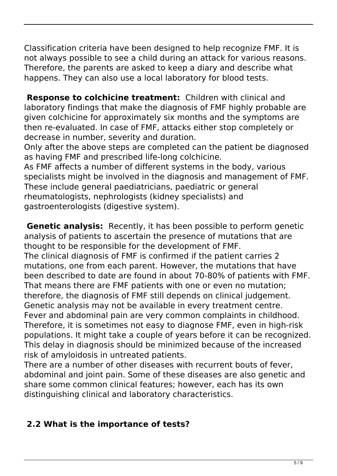Classification criteria have been designed to help recognize FMF. It is not always possible to see a child during an attack for various reasons. Therefore, the parents are asked to keep a diary and describe what happens. They can also use a local laboratory for blood tests.

 **Response to colchicine treatment:** Children with clinical and laboratory findings that make the diagnosis of FMF highly probable are given colchicine for approximately six months and the symptoms are then re-evaluated. In case of FMF, attacks either stop completely or decrease in number, severity and duration.

Only after the above steps are completed can the patient be diagnosed as having FMF and prescribed life-long colchicine.

As FMF affects a number of different systems in the body, various specialists might be involved in the diagnosis and management of FMF. These include general paediatricians, paediatric or general rheumatologists, nephrologists (kidney specialists) and gastroenterologists (digestive system).

 **Genetic analysis:** Recently, it has been possible to perform genetic analysis of patients to ascertain the presence of mutations that are thought to be responsible for the development of FMF. The clinical diagnosis of FMF is confirmed if the patient carries 2 mutations, one from each parent. However, the mutations that have been described to date are found in about 70-80% of patients with FMF. That means there are FMF patients with one or even no mutation; therefore, the diagnosis of FMF still depends on clinical judgement. Genetic analysis may not be available in every treatment centre. Fever and abdominal pain are very common complaints in childhood. Therefore, it is sometimes not easy to diagnose FMF, even in high-risk populations. It might take a couple of years before it can be recognized. This delay in diagnosis should be minimized because of the increased risk of amyloidosis in untreated patients.

There are a number of other diseases with recurrent bouts of fever, abdominal and joint pain. Some of these diseases are also genetic and share some common clinical features; however, each has its own distinguishing clinical and laboratory characteristics.

# **2.2 What is the importance of tests?**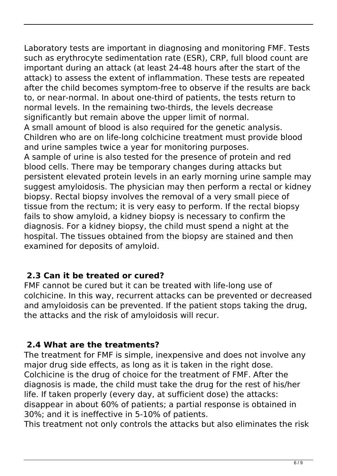Laboratory tests are important in diagnosing and monitoring FMF. Tests such as erythrocyte sedimentation rate (ESR), CRP, full blood count are important during an attack (at least 24-48 hours after the start of the attack) to assess the extent of inflammation. These tests are repeated after the child becomes symptom-free to observe if the results are back to, or near-normal. In about one-third of patients, the tests return to normal levels. In the remaining two-thirds, the levels decrease significantly but remain above the upper limit of normal. A small amount of blood is also required for the genetic analysis. Children who are on life-long colchicine treatment must provide blood and urine samples twice a year for monitoring purposes. A sample of urine is also tested for the presence of protein and red blood cells. There may be temporary changes during attacks but persistent elevated protein levels in an early morning urine sample may suggest amyloidosis. The physician may then perform a rectal or kidney biopsy. Rectal biopsy involves the removal of a very small piece of tissue from the rectum; it is very easy to perform. If the rectal biopsy fails to show amyloid, a kidney biopsy is necessary to confirm the diagnosis. For a kidney biopsy, the child must spend a night at the hospital. The tissues obtained from the biopsy are stained and then examined for deposits of amyloid.

# **2.3 Can it be treated or cured?**

FMF cannot be cured but it can be treated with life-long use of colchicine. In this way, recurrent attacks can be prevented or decreased and amyloidosis can be prevented. If the patient stops taking the drug, the attacks and the risk of amyloidosis will recur.

# **2.4 What are the treatments?**

The treatment for FMF is simple, inexpensive and does not involve any major drug side effects, as long as it is taken in the right dose. Colchicine is the drug of choice for the treatment of FMF. After the diagnosis is made, the child must take the drug for the rest of his/her life. If taken properly (every day, at sufficient dose) the attacks: disappear in about 60% of patients; a partial response is obtained in 30%; and it is ineffective in 5-10% of patients.

This treatment not only controls the attacks but also eliminates the risk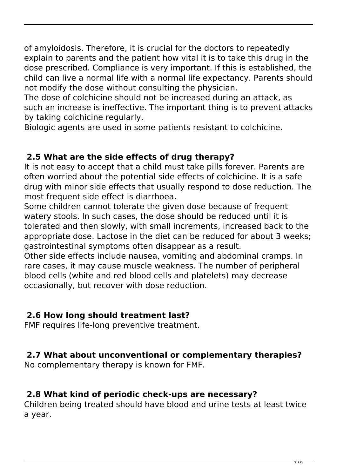of amyloidosis. Therefore, it is crucial for the doctors to repeatedly explain to parents and the patient how vital it is to take this drug in the dose prescribed. Compliance is very important. If this is established, the child can live a normal life with a normal life expectancy. Parents should not modify the dose without consulting the physician.

The dose of colchicine should not be increased during an attack, as such an increase is ineffective. The important thing is to prevent attacks by taking colchicine regularly.

Biologic agents are used in some patients resistant to colchicine.

# **2.5 What are the side effects of drug therapy?**

It is not easy to accept that a child must take pills forever. Parents are often worried about the potential side effects of colchicine. It is a safe drug with minor side effects that usually respond to dose reduction. The most frequent side effect is diarrhoea.

Some children cannot tolerate the given dose because of frequent watery stools. In such cases, the dose should be reduced until it is tolerated and then slowly, with small increments, increased back to the appropriate dose. Lactose in the diet can be reduced for about 3 weeks; gastrointestinal symptoms often disappear as a result.

Other side effects include nausea, vomiting and abdominal cramps. In rare cases, it may cause muscle weakness. The number of peripheral blood cells (white and red blood cells and platelets) may decrease occasionally, but recover with dose reduction.

# **2.6 How long should treatment last?**

FMF requires life-long preventive treatment.

# **2.7 What about unconventional or complementary therapies?**

No complementary therapy is known for FMF.

# **2.8 What kind of periodic check-ups are necessary?**

Children being treated should have blood and urine tests at least twice a year.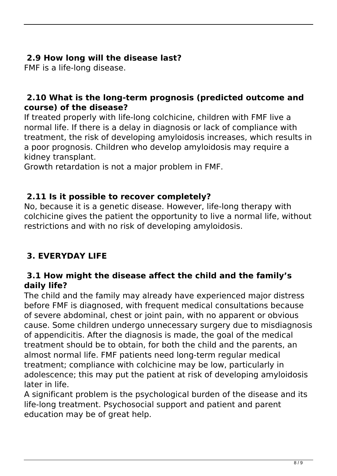# **2.9 How long will the disease last?**

FMF is a life-long disease.

### **2.10 What is the long-term prognosis (predicted outcome and course) of the disease?**

If treated properly with life-long colchicine, children with FMF live a normal life. If there is a delay in diagnosis or lack of compliance with treatment, the risk of developing amyloidosis increases, which results in a poor prognosis. Children who develop amyloidosis may require a kidney transplant.

Growth retardation is not a major problem in FMF.

# **2.11 Is it possible to recover completely?**

No, because it is a genetic disease. However, life-long therapy with colchicine gives the patient the opportunity to live a normal life, without restrictions and with no risk of developing amyloidosis.

# **3. EVERYDAY LIFE**

### **3.1 How might the disease affect the child and the family's daily life?**

The child and the family may already have experienced major distress before FMF is diagnosed, with frequent medical consultations because of severe abdominal, chest or joint pain, with no apparent or obvious cause. Some children undergo unnecessary surgery due to misdiagnosis of appendicitis. After the diagnosis is made, the goal of the medical treatment should be to obtain, for both the child and the parents, an almost normal life. FMF patients need long-term regular medical treatment; compliance with colchicine may be low, particularly in adolescence; this may put the patient at risk of developing amyloidosis later in life.

A significant problem is the psychological burden of the disease and its life-long treatment. Psychosocial support and patient and parent education may be of great help.